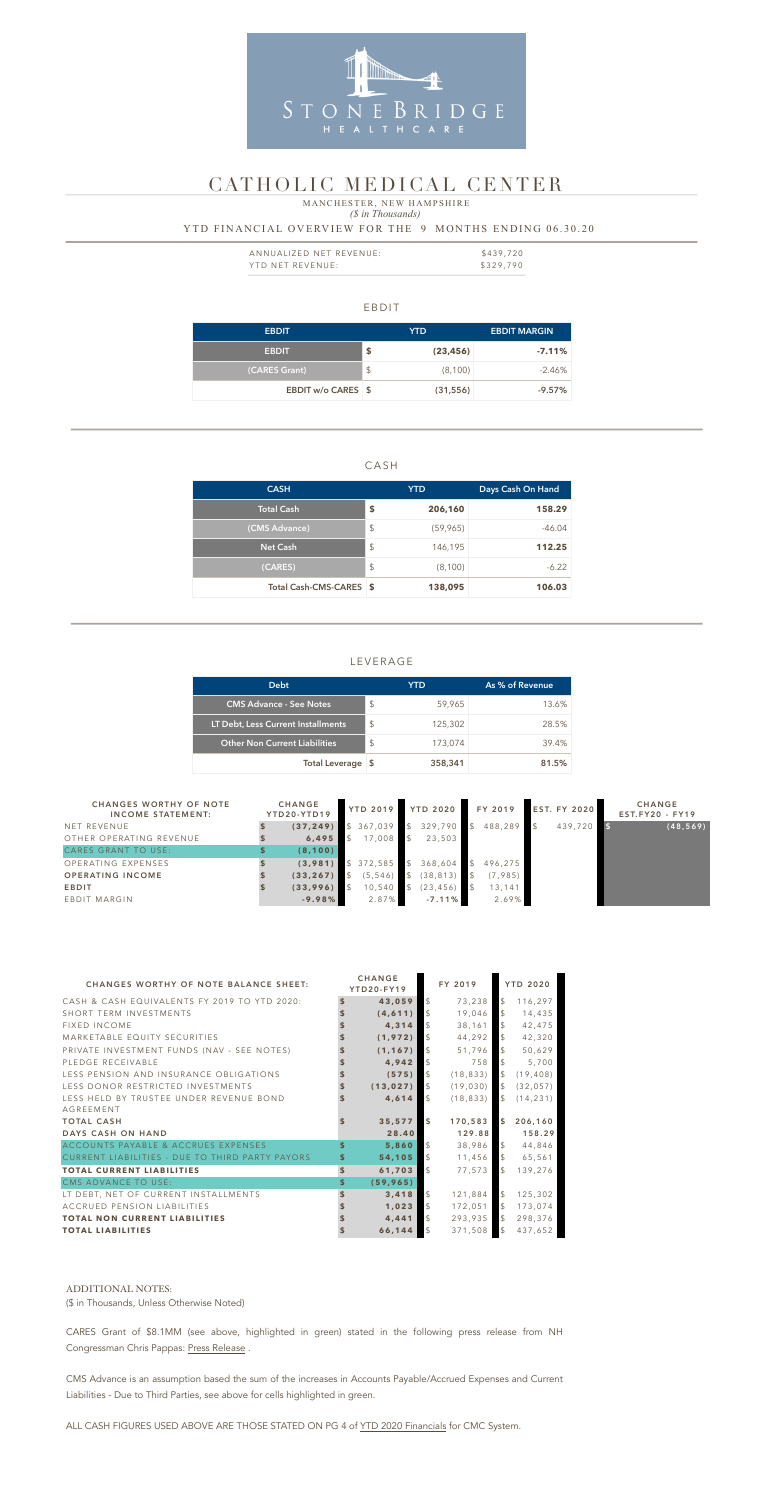#### EBDIT

| <b>EBDIT</b>              |               | YTD.      | <b>EBDIT MARGIN</b> |
|---------------------------|---------------|-----------|---------------------|
| <b>EBDIT</b>              | \$            | (23, 456) | $-7.11%$            |
| (CARES Grant)             | $\frac{1}{2}$ | (8,100)   | $-2.46\%$           |
| <b>EBDIT w/o CARES \$</b> |               | (31, 556) | $-9.57\%$           |

### CASH

| <b>CASH</b>             |                         | <b>YTD</b> | Days Cash On Hand |  |  |
|-------------------------|-------------------------|------------|-------------------|--|--|
| <b>Total Cash</b>       | \$                      | 206,160    | 158.29            |  |  |
| (CMS Advance)           | \$                      | (59, 965)  | $-46.04$          |  |  |
| <b>Net Cash</b>         | $\mathcal{L}$           | 146,195    | 112.25            |  |  |
| (CARES)                 | $\sqrt[6]{\frac{1}{2}}$ | (8,100)    | $-6.22$           |  |  |
| Total Cash-CMS-CARES \$ |                         | 138,095    | 106.03            |  |  |

| ANNUALIZED NET REVENUE: | \$439,720 |
|-------------------------|-----------|
| YTD NET REVENUE:        | \$329,790 |

### LEVERAGE

### *(\$ in Thousands)* YTD FINANCIAL OVERVIEW FOR THE 9 MONTHS ENDING 06.30.20 MANCHESTER, NEW HAMPSHIRE

| <b>Debt</b>                          |                           | YTD.    | As % of Revenue |  |  |
|--------------------------------------|---------------------------|---------|-----------------|--|--|
| <b>CMS Advance - See Notes</b>       | $\boldsymbol{\mathsf{S}}$ | 59,965  | 13.6%           |  |  |
| LT Debt, Less Current Installments   | S                         | 125,302 | 28.5%           |  |  |
| <b>Other Non Current Liabilities</b> | $\boldsymbol{\mathsf{S}}$ | 173,074 | 39.4%           |  |  |
| Total Leverage \$                    |                           | 358,341 | 81.5%           |  |  |



## CATHOLIC MEDICAL CENTER

| <b>CHANGES WORTHY OF NOTE</b><br><b>INCOME STATEMENT:</b> | <b>CHANGE</b><br>YTD20-YTD19 |  |          |               |           | YTD 2019 YTD 2020 |         |         |           | FY 2019 |  | <b>EST. FY 2020</b> | <b>CHANGE</b><br>$EST.FY20 - FY19$ |
|-----------------------------------------------------------|------------------------------|--|----------|---------------|-----------|-------------------|---------|---------|-----------|---------|--|---------------------|------------------------------------|
| NET REVENUE                                               | (37, 249)                    |  | 367,039  | $\mathsf{\$}$ | 329,790   | <b>1</b> \$       | 488,289 | 439,720 | (48, 569) |         |  |                     |                                    |
| OTHER OPERATING REVENUE                                   | 6,495                        |  | 17,008   | $\mathcal{S}$ | 23,503    |                   |         |         |           |         |  |                     |                                    |
| CARES GRANT TO USE:                                       | (8, 100)                     |  |          |               |           |                   |         |         |           |         |  |                     |                                    |
| OPERATING EXPENSES                                        | (3,981)                      |  | 372,585  |               | 368,604   | $\mathcal{S}$     | 496,275 |         |           |         |  |                     |                                    |
| <b>OPERATING INCOME</b>                                   | (33, 267)                    |  | (5, 546) |               | (38, 813) |                   | (7,985) |         |           |         |  |                     |                                    |
| <b>EBDIT</b>                                              | (33,996)                     |  | 10,540   |               | (23, 456) |                   | 13,141  |         |           |         |  |                     |                                    |
| EBDIT MARGIN                                              | $-9.98%$                     |  | 2.87%    |               | $-7.11%$  |                   | 2.69%   |         |           |         |  |                     |                                    |

CARES Grant of \$8.1MM (see above, highlighted in green) stated in the following press release from NH Congressman Chris Pappas: [Press Release](https://pappas.house.gov/media/press-releases/nh-delegation-announces-more-26-million-cares-act-relief-nh-health-care).

| <b>CHANGES WORTHY OF NOTE BALANCE SHEET:</b>           |                    | <b>CHANGE</b><br>YTD20-FY19 |                | FY 2019   |                     | <b>YTD 2020</b> |
|--------------------------------------------------------|--------------------|-----------------------------|----------------|-----------|---------------------|-----------------|
| CASH & CASH EQUIVALENTS FY 2019 TO YTD 2020:           | $\mathbf{\hat{s}}$ | 43,059                      | $\mathcal{L}$  | 73,238    | $\mathcal{L}$       | 116,297         |
| SHORT TERM INVESTMENTS                                 |                    | (4, 611)                    | $\mathfrak{S}$ | 19,046    | $\mathfrak{L}$      | 14,435          |
| <b>FIXED INCOME</b>                                    |                    | 4,314                       | $\mathcal{L}$  | 38,161    | $\mathcal{S}$       | 42,475          |
| MARKETABLE EQUITY SECURITIES                           |                    | (1, 972)                    | $\mathcal{L}$  | 44,292    | $\mathcal{L}$       | 42,320          |
| PRIVATE INVESTMENT FUNDS (NAV - SEE NOTES)             |                    | (1, 167)                    | $\mathcal{L}$  | 51,796    | $\mathcal{L}$       | 50,629          |
| PLEDGE RECEIVABLE                                      |                    | 4,942                       | $\mathfrak{L}$ | 758       | $\mathfrak{L}$      | 5,700           |
| LESS PENSION AND INSURANCE OBLIGATIONS                 |                    | (575)                       | $\mathfrak{L}$ | (18, 833) | $\mathcal{S}$       | (19, 408)       |
| LESS DONOR RESTRICTED INVESTMENTS                      |                    | (13, 027)                   | $\mathcal{L}$  | (19, 030) | $\sqrt{3}$          | (32, 057)       |
| LESS HELD BY TRUSTEE UNDER REVENUE BOND                |                    | 4,614                       | $\mathcal{S}$  | (18, 833) | $\mathcal{L}$       | (14, 231)       |
| <b>AGREEMENT</b>                                       |                    |                             |                |           |                     |                 |
| <b>TOTAL CASH</b>                                      |                    | 35,577                      | $\mathbf{s}$   | 170,583   | $\mathbf{s}$        | 206,160         |
| DAYS CASH ON HAND                                      |                    | 28.40                       |                | 129.88    |                     | 158.29          |
| ACCOUNTS PAYABLE & ACCRUES EXPENSES                    | \$                 | 5,860                       | $\mathcal{L}$  | 38,986    | $\mathcal{S}$       | 44,846          |
| <b>CURRENT LIABILITIES - DUE TO THIRD PARTY PAYORS</b> | S                  | 54,105                      | $\mathcal{L}$  | 11,456    | $\mathcal{S}$       | 65,561          |
| <b>TOTAL CURRENT LIABILITIES</b>                       | \$                 | 61,703                      | $\mathfrak{S}$ | 77,573    | $\hat{\mathcal{L}}$ | 139,276         |
| CMS ADVANCE TO USE:                                    | \$                 | (59, 965)                   |                |           |                     |                 |
| LT DEBT, NET OF CURRENT INSTALLMENTS                   | \$                 | 3,418                       | $\mathfrak{L}$ | 121,884   | $\mathcal{L}$       | 125,302         |
| ACCRUED PENSION LIABILITIES                            |                    | 1,023                       | $\mathcal{L}$  | 172,051   | $\mathcal{S}$       | 173,074         |
| <b>TOTAL NON CURRENT LIABILITIES</b>                   |                    | 4,441                       | $\mathcal{L}$  | 293,935   | $\mathcal{S}$       | 298,376         |
| <b>TOTAL LIABILITIES</b>                               |                    | 66,144                      | $\sqrt{5}$     | 371,508   | $\sqrt{5}$          | 437,652         |

#### ADDITIONAL NOTES:

(\$ in Thousands, Unless Otherwise Noted)

CMS Advance is an assumption based the sum of the increases in Accounts Payable/Accrued Expenses and Current Liabilities - Due to Third Parties, see above for cells highlighted in green.

ALL CASH FIGURES USED ABOVE ARE THOSE STATED ON PG 4 of [YTD 2020 Financials](https://emma.msrb.org/SS1396852-SS1086483-SS1494733.pdf) for CMC System.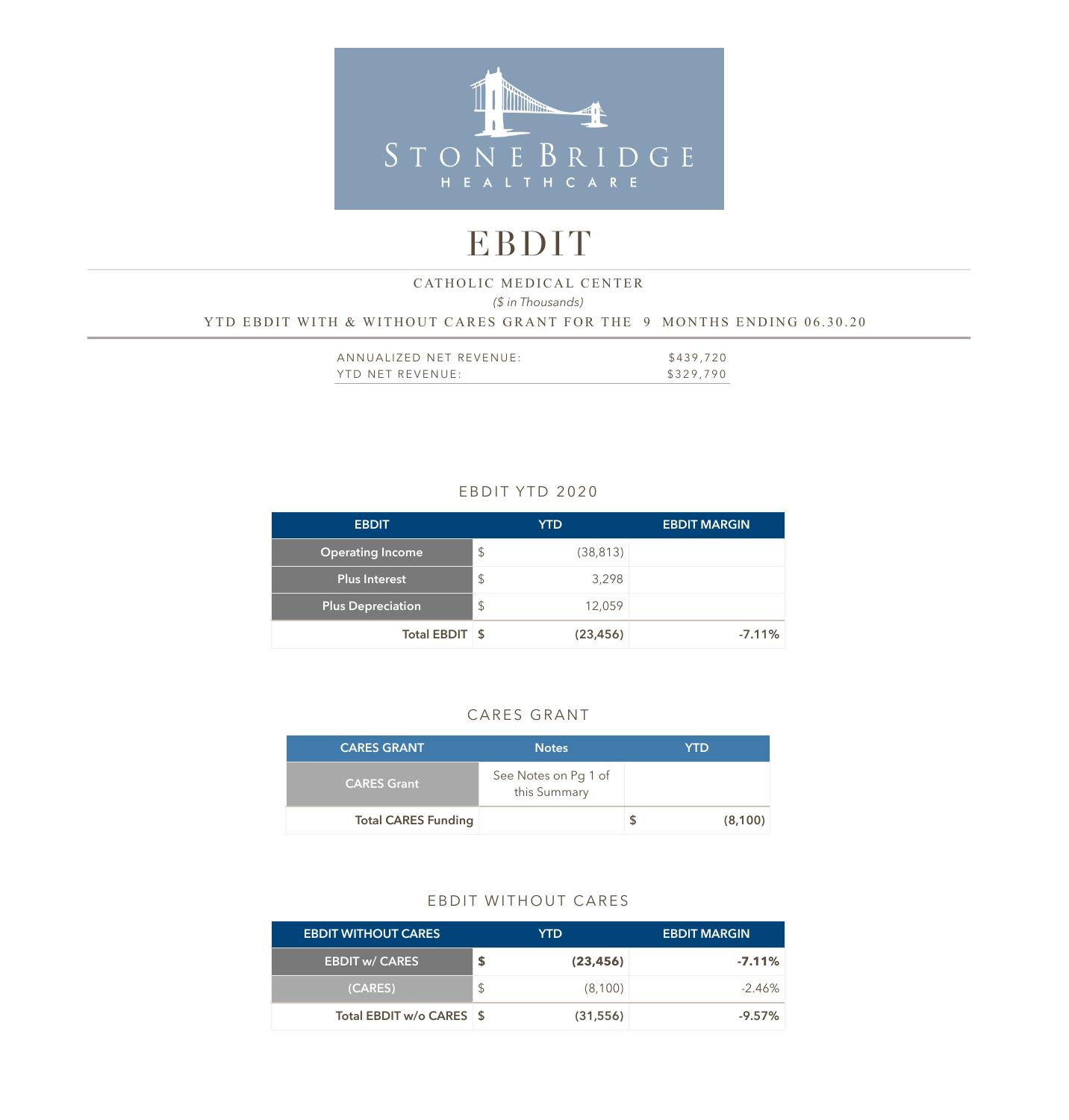

# EBDIT

### *(\$ in Thousands)*  YTD EBDIT WITH & WITHOUT CARES GRANT FOR THE 9 MONTHS ENDING 06.30.20 CATHOLIC MEDICAL CENTER

| ANNUALIZED NET REVENUE: | \$439,720 |
|-------------------------|-----------|
| YTD NET REVENUE:        | \$329,790 |

### EBDIT YTD 2020

| <b>EBDIT</b>             |               | <b>YTD</b> | <b>EBDIT MARGIN</b> |
|--------------------------|---------------|------------|---------------------|
| <b>Operating Income</b>  | $\mathcal{L}$ | (38, 813)  |                     |
| Plus Interest            | $\mathcal{L}$ | 3,298      |                     |
| <b>Plus Depreciation</b> | $\mathcal{L}$ | 12,059     |                     |
| Total EBDIT \$           |               | (23, 456)  | $-7.11%$            |

### CARES GRANT

| <b>CARES GRANT</b>         | <b>Notes</b>                         | YTD |         |
|----------------------------|--------------------------------------|-----|---------|
| <b>CARES Grant</b>         | See Notes on Pg 1 of<br>this Summary |     |         |
| <b>Total CARES Funding</b> |                                      |     | (8,100) |

### EBDIT WITHOUT CARES

| <b>EBDIT WITHOUT CARES</b> |               | YTD.      | <b>EBDIT MARGIN</b> |
|----------------------------|---------------|-----------|---------------------|
| <b>EBDIT w/ CARES</b>      |               | (23, 456) | $-7.11\%$           |
| (CARES)                    | $\mathcal{L}$ | (8,100)   | $-2.46\%$           |
| Total EBDIT w/o CARES \$   |               | (31, 556) | $-9.57\%$           |